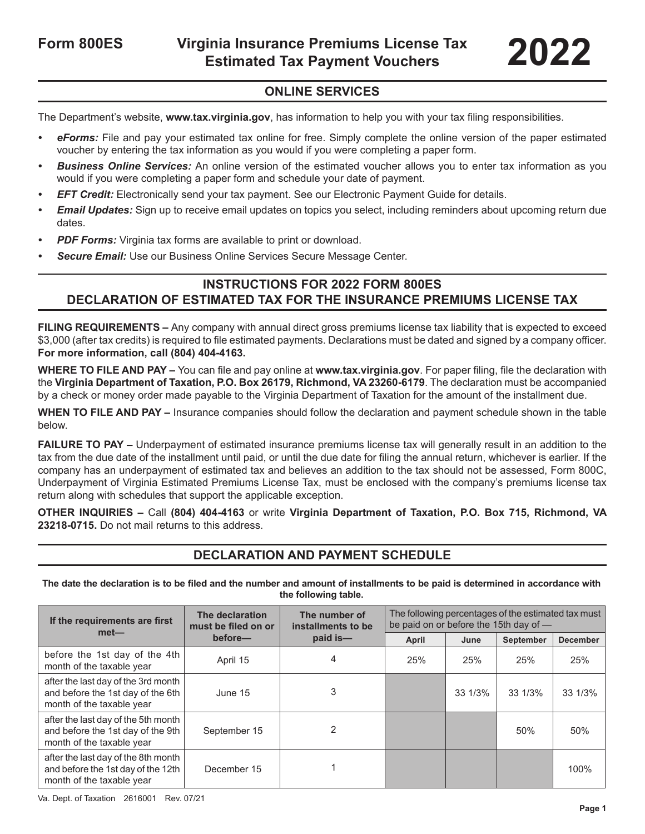#### **ONLINE SERVICES**

The Department's website, **www.tax.virginia.gov**, has information to help you with your tax filing responsibilities.

- *• eForms:* File and pay your estimated tax online for free. Simply complete the online version of the paper estimated voucher by entering the tax information as you would if you were completing a paper form.
- *• Business Online Services:* An online version of the estimated voucher allows you to enter tax information as you would if you were completing a paper form and schedule your date of payment.
- *EFT Credit:* Electronically send your tax payment. See our Electronic Payment Guide for details.
- *Email Updates:* Sign up to receive email updates on topics you select, including reminders about upcoming return due dates.
- *PDF Forms: Virginia tax forms are available to print or download.*
- *• Secure Email:* Use our Business Online Services Secure Message Center.

#### **INSTRUCTIONS FOR 2022 FORM 800ES DECLARATION OF ESTIMATED TAX FOR THE INSURANCE PREMIUMS LICENSE TAX**

**FILING REQUIREMENTS –** Any company with annual direct gross premiums license tax liability that is expected to exceed \$3,000 (after tax credits) is required to file estimated payments. Declarations must be dated and signed by a company officer. **For more information, call (804) 404-4163.**

**WHERE TO FILE AND PAY –** You can file and pay online at **www.tax.virginia.gov**. For paper filing, file the declaration with the **Virginia Department of Taxation, P.O. Box 26179, Richmond, VA 23260-6179**. The declaration must be accompanied by a check or money order made payable to the Virginia Department of Taxation for the amount of the installment due.

**WHEN TO FILE AND PAY –** Insurance companies should follow the declaration and payment schedule shown in the table below.

**FAILURE TO PAY –** Underpayment of estimated insurance premiums license tax will generally result in an addition to the tax from the due date of the installment until paid, or until the due date for filing the annual return, whichever is earlier. If the company has an underpayment of estimated tax and believes an addition to the tax should not be assessed, Form 800C, Underpayment of Virginia Estimated Premiums License Tax, must be enclosed with the company's premiums license tax return along with schedules that support the applicable exception.

**OTHER INQUIRIES –** Call **(804) 404-4163** or write **Virginia Department of Taxation, P.O. Box 715, Richmond, VA 23218-0715.** Do not mail returns to this address.

#### **DECLARATION AND PAYMENT SCHEDULE**

**The date the declaration is to be filed and the number and amount of installments to be paid is determined in accordance with the following table.**

| If the requirements are first<br>$met-$                                                                | The declaration<br>must be filed on or | The number of<br>installments to be | The following percentages of the estimated tax must<br>be paid on or before the 15th day of - |         |           |                 |
|--------------------------------------------------------------------------------------------------------|----------------------------------------|-------------------------------------|-----------------------------------------------------------------------------------------------|---------|-----------|-----------------|
|                                                                                                        | before-                                | paid is-                            | April                                                                                         | June    | September | <b>December</b> |
| before the 1st day of the 4th<br>month of the taxable year                                             | April 15                               | 4                                   | 25%                                                                                           | 25%     | 25%       | 25%             |
| after the last day of the 3rd month<br>and before the 1st day of the 6th<br>month of the taxable year  | June 15                                | 3                                   |                                                                                               | 33 1/3% | 33 1/3%   | 33 1/3%         |
| after the last day of the 5th month<br>and before the 1st day of the 9th<br>month of the taxable year  | September 15                           |                                     |                                                                                               |         | 50%       | 50%             |
| after the last day of the 8th month<br>and before the 1st day of the 12th<br>month of the taxable year | December 15                            |                                     |                                                                                               |         |           | 100%            |

Va. Dept. of Taxation 2616001 Rev. 07/21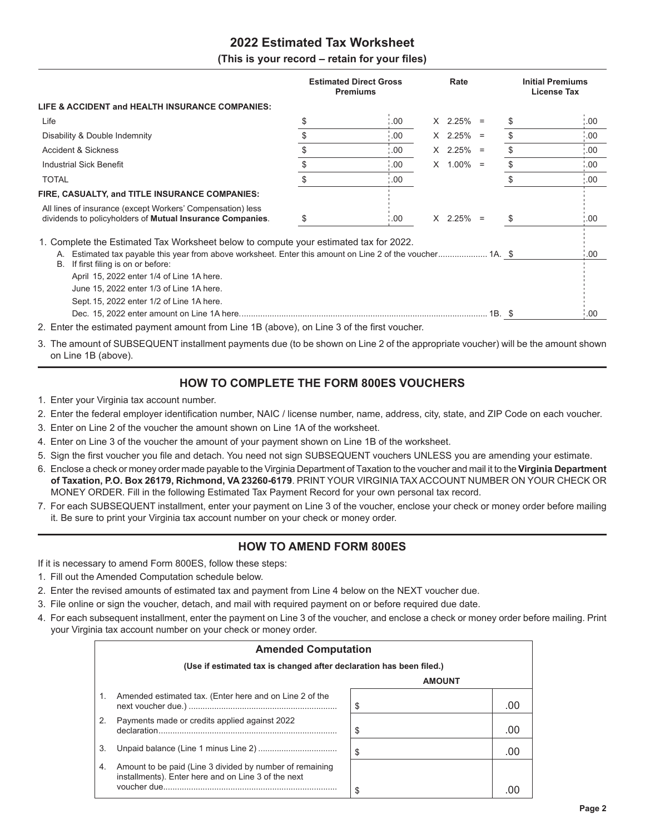#### **2022 Estimated Tax Worksheet**

#### **(This is your record – retain for your files)**

|                                                                                                                                                                                                                                                  | <b>Estimated Direct Gross</b><br><b>Premiums</b> | Rate        |    | <b>Initial Premiums</b><br><b>License Tax</b> |
|--------------------------------------------------------------------------------------------------------------------------------------------------------------------------------------------------------------------------------------------------|--------------------------------------------------|-------------|----|-----------------------------------------------|
| LIFE & ACCIDENT and HEALTH INSURANCE COMPANIES:                                                                                                                                                                                                  |                                                  |             |    |                                               |
| Life                                                                                                                                                                                                                                             | \$<br>.00.                                       | $X$ 2.25% = | \$ | .00                                           |
| Disability & Double Indemnity                                                                                                                                                                                                                    | \$<br>00.1                                       | $X$ 2.25% = | \$ | .00                                           |
| <b>Accident &amp; Sickness</b>                                                                                                                                                                                                                   | \$<br>00.1                                       | $X$ 2.25% = | \$ | $\cdot 00$                                    |
| <b>Industrial Sick Benefit</b>                                                                                                                                                                                                                   | \$<br>00.1                                       | $X$ 1.00% = | \$ | .00                                           |
| <b>TOTAL</b>                                                                                                                                                                                                                                     | 00.1                                             |             | \$ | $\cdot$ 00                                    |
| FIRE, CASUALTY, and TITLE INSURANCE COMPANIES:                                                                                                                                                                                                   |                                                  |             |    |                                               |
| All lines of insurance (except Workers' Compensation) less<br>dividends to policyholders of Mutual Insurance Companies.                                                                                                                          | \$<br>$^{\circ}$ .00                             | $X$ 2.25% = | \$ | 00.1                                          |
| 1. Complete the Estimated Tax Worksheet below to compute your estimated tax for 2022.<br>Estimated tax payable this year from above worksheet. Enter this amount on Line 2 of the voucher 1A. \$<br>А.<br>If first filing is on or before:<br>В. |                                                  |             |    | 00.1                                          |
| April 15, 2022 enter 1/4 of Line 1A here.<br>June 15, 2022 enter 1/3 of Line 1A here.<br>Sept. 15, 2022 enter 1/2 of Line 1A here.                                                                                                               |                                                  |             |    | 00.1                                          |
| 2. Enter the estimated payment amount from Line 1B (above), on Line 3 of the first voucher.                                                                                                                                                      |                                                  |             |    |                                               |

3. The amount of SUBSEQUENT installment payments due (to be shown on Line 2 of the appropriate voucher) will be the amount shown on Line 1B (above).

#### **HOW TO COMPLETE THE FORM 800ES VOUCHERS**

- 1. Enter your Virginia tax account number.
- 2. Enter the federal employer identification number, NAIC / license number, name, address, city, state, and ZIP Code on each voucher.
- 3. Enter on Line 2 of the voucher the amount shown on Line 1A of the worksheet.
- 4. Enter on Line 3 of the voucher the amount of your payment shown on Line 1B of the worksheet.
- 5. Sign the first voucher you file and detach. You need not sign SUBSEQUENT vouchers UNLESS you are amending your estimate.
- 6. Enclose a check or money order made payable to the Virginia Department of Taxation to the voucher and mail it to the **Virginia Department of Taxation, P.O. Box 26179, Richmond, VA 23260-6179**. PRINT YOUR VIRGINIA TAX ACCOUNT NUMBER ON YOUR CHECK OR MONEY ORDER. Fill in the following Estimated Tax Payment Record for your own personal tax record.
- 7. For each SUBSEQUENT installment, enter your payment on Line 3 of the voucher, enclose your check or money order before mailing it. Be sure to print your Virginia tax account number on your check or money order.

#### **HOW TO AMEND FORM 800ES**

If it is necessary to amend Form 800ES, follow these steps:

- 1. Fill out the Amended Computation schedule below.
- 2. Enter the revised amounts of estimated tax and payment from Line 4 below on the NEXT voucher due.
- 3. File online or sign the voucher, detach, and mail with required payment on or before required due date.
- 4. For each subsequent installment, enter the payment on Line 3 of the voucher, and enclose a check or money order before mailing. Print your Virginia tax account number on your check or money order.

|    | <b>Amended Computation</b>                                                                                      |               |          |
|----|-----------------------------------------------------------------------------------------------------------------|---------------|----------|
|    | (Use if estimated tax is changed after declaration has been filed.)                                             |               |          |
|    |                                                                                                                 | <b>AMOUNT</b> |          |
| 1. | Amended estimated tax. (Enter here and on Line 2 of the                                                         | \$            | $\Omega$ |
| 2. | Payments made or credits applied against 2022<br>declaration                                                    | \$            | $($ ) (  |
| 3. |                                                                                                                 | \$            |          |
| 4. | Amount to be paid (Line 3 divided by number of remaining<br>installments). Enter here and on Line 3 of the next |               |          |
|    |                                                                                                                 | \$            |          |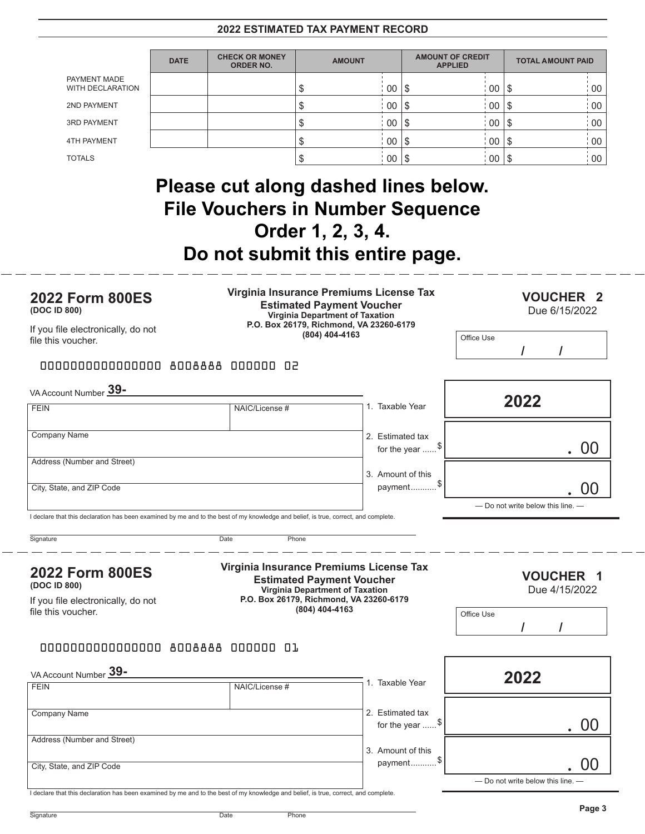#### **2022 ESTIMATED TAX PAYMENT RECORD**

|                                         | <b>DATE</b> | <b>CHECK OR MONEY</b><br><b>ORDER NO.</b> | <b>AMOUNT</b> |           | <b>AMOUNT OF CREDIT</b><br><b>APPLIED</b> |    | <b>TOTAL AMOUNT PAID</b> |                 |
|-----------------------------------------|-------------|-------------------------------------------|---------------|-----------|-------------------------------------------|----|--------------------------|-----------------|
| PAYMENT MADE<br><b>WITH DECLARATION</b> |             |                                           |               | 00        |                                           | 00 |                          | 00              |
| 2ND PAYMENT                             |             |                                           |               | 00        | 1 S                                       | 00 | 15                       | 00 <sup>°</sup> |
| <b>3RD PAYMENT</b>                      |             |                                           |               | $00\,$    |                                           | 00 | 18                       | 00              |
| <b>4TH PAYMENT</b>                      |             |                                           |               | $00$   \$ |                                           | 00 | 15                       | 00 <sup>°</sup> |
| <b>TOTALS</b>                           |             |                                           |               | $00$   \$ |                                           | 00 |                          | 00 <sub>1</sub> |

### **Please cut along dashed lines below. File Vouchers in Number Sequence Order 1, 2, 3, 4. Do not submit this entire page.**

| <b>2022 Form 800ES</b><br>(DOC ID 800)<br>If you file electronically, do not<br>file this voucher.                                  | Virginia Insurance Premiums License Tax<br><b>Estimated Payment Voucher</b><br>Virginia Department of Taxation<br>P.O. Box 26179, Richmond, VA 23260-6179<br>(804) 404-4163 |                                             | <b>VOUCHER 2</b><br>Due 6/15/2022<br>Office Use |
|-------------------------------------------------------------------------------------------------------------------------------------|-----------------------------------------------------------------------------------------------------------------------------------------------------------------------------|---------------------------------------------|-------------------------------------------------|
| 0000000000000000 8008888 000000 02                                                                                                  |                                                                                                                                                                             |                                             |                                                 |
| VA Account Number 39-                                                                                                               |                                                                                                                                                                             |                                             |                                                 |
| <b>FEIN</b>                                                                                                                         | NAIC/License #                                                                                                                                                              | 1. Taxable Year                             | 2022                                            |
| Company Name                                                                                                                        |                                                                                                                                                                             | 2. Estimated tax<br>for the year $\ldots$ . | - 00                                            |
| Address (Number and Street)                                                                                                         |                                                                                                                                                                             | 3. Amount of this                           |                                                 |
| City, State, and ZIP Code                                                                                                           |                                                                                                                                                                             | payment <sup>\$</sup>                       | 00                                              |
| I declare that this declaration has been examined by me and to the best of my knowledge and belief, is true, correct, and complete. |                                                                                                                                                                             |                                             | - Do not write below this line.                 |
| Signature                                                                                                                           | Date<br>Phone                                                                                                                                                               |                                             |                                                 |
| 2022 Form 800ES<br>(DOC ID 800)                                                                                                     | Virginia Insurance Premiums License Tax<br><b>Estimated Payment Voucher</b><br>Virginia Department of Taxation                                                              |                                             | <b>VOUCHER 1</b><br>Due 4/15/2022               |
| If you file electronically, do not<br>file this voucher.                                                                            | P.O. Box 26179, Richmond, VA 23260-6179<br>(804) 404-4163                                                                                                                   |                                             | Office Use                                      |
|                                                                                                                                     |                                                                                                                                                                             |                                             | $\prime$                                        |
| 0000000000000000 8008888 000000 01                                                                                                  |                                                                                                                                                                             |                                             |                                                 |
| VA Account Number 39-                                                                                                               |                                                                                                                                                                             |                                             | 2022                                            |
|                                                                                                                                     |                                                                                                                                                                             |                                             |                                                 |
| <b>FEIN</b>                                                                                                                         | NAIC/License #                                                                                                                                                              | 1. Taxable Year                             |                                                 |
| Company Name                                                                                                                        |                                                                                                                                                                             | 2. Estimated tax<br>for the year $\ldots$ . | 00                                              |
| Address (Number and Street)                                                                                                         |                                                                                                                                                                             | 3. Amount of this                           |                                                 |
| City, State, and ZIP Code                                                                                                           |                                                                                                                                                                             | payment <sup>\$</sup>                       | OO<br>- Do not write below this line.           |